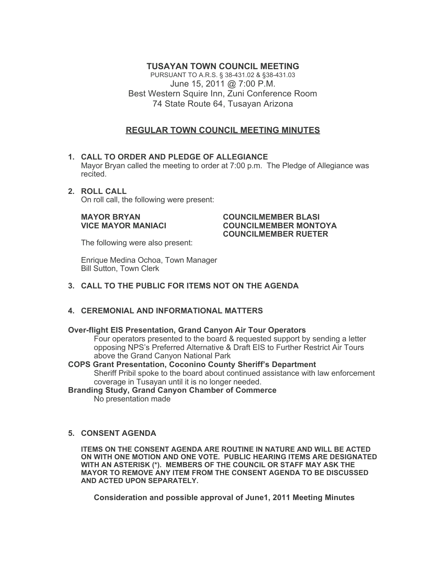## **TUSAYAN TOWN COUNCIL MEETING**

PURSUANT TO A.R.S. § 38-431.02 & §38-431.03 June 15, 2011 @ 7:00 P.M. Best Western Squire Inn, Zuni Conference Room 74 State Route 64, Tusayan Arizona

# **REGULAR TOWN COUNCIL MEETING MINUTES**

#### **1. CALL TO ORDER AND PLEDGE OF ALLEGIANCE** Mayor Bryan called the meeting to order at 7:00 p.m. The Pledge of Allegiance was recited.

**2. ROLL CALL** On roll call, the following were present:

#### **MAYOR BRYAN COUNCILMEMBER BLASI VICE MAYOR MANIACI COUNCILMEMBER MONTOYA COUNCILMEMBER RUETER**

The following were also present:

Enrique Medina Ochoa, Town Manager Bill Sutton, Town Clerk

## **3. CALL TO THE PUBLIC FOR ITEMS NOT ON THE AGENDA**

## **4. CEREMONIAL AND INFORMATIONAL MATTERS**

### **Over-flight EIS Presentation, Grand Canyon Air Tour Operators**

Four operators presented to the board & requested support by sending a letter opposing NPS's Preferred Alternative & Draft EIS to Further Restrict Air Tours above the Grand Canyon National Park

**COPS Grant Presentation, Coconino County Sheriff's Department** Sheriff Pribil spoke to the board about continued assistance with law enforcement coverage in Tusayan until it is no longer needed.

**Branding Study, Grand Canyon Chamber of Commerce** No presentation made

### **5. CONSENT AGENDA**

**ITEMS ON THE CONSENT AGENDA ARE ROUTINE IN NATURE AND WILL BE ACTED ON WITH ONE MOTION AND ONE VOTE. PUBLIC HEARING ITEMS ARE DESIGNATED WITH AN ASTERISK (\*). MEMBERS OF THE COUNCIL OR STAFF MAY ASK THE MAYOR TO REMOVE ANY ITEM FROM THE CONSENT AGENDA TO BE DISCUSSED AND ACTED UPON SEPARATELY.**

**Consideration and possible approval of June1, 2011 Meeting Minutes**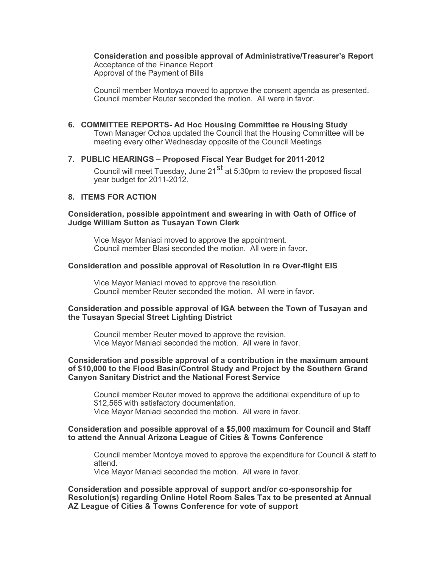**Consideration and possible approval of Administrative/Treasurer's Report** Acceptance of the Finance Report Approval of the Payment of Bills

Council member Montoya moved to approve the consent agenda as presented. Council member Reuter seconded the motion. All were in favor.

**6. COMMITTEE REPORTS- Ad Hoc Housing Committee re Housing Study** Town Manager Ochoa updated the Council that the Housing Committee will be meeting every other Wednesday opposite of the Council Meetings

#### **7. PUBLIC HEARINGS – Proposed Fiscal Year Budget for 2011-2012**

Council will meet Tuesday, June  $21^{st}$  at 5:30pm to review the proposed fiscal year budget for 2011-2012.

## **8. ITEMS FOR ACTION**

#### **Consideration, possible appointment and swearing in with Oath of Office of Judge William Sutton as Tusayan Town Clerk**

Vice Mayor Maniaci moved to approve the appointment. Council member Blasi seconded the motion. All were in favor.

#### **Consideration and possible approval of Resolution in re Over-flight EIS**

Vice Mayor Maniaci moved to approve the resolution. Council member Reuter seconded the motion. All were in favor.

#### **Consideration and possible approval of IGA between the Town of Tusayan and the Tusayan Special Street Lighting District**

Council member Reuter moved to approve the revision. Vice Mayor Maniaci seconded the motion. All were in favor.

#### **Consideration and possible approval of a contribution in the maximum amount of \$10,000 to the Flood Basin/Control Study and Project by the Southern Grand Canyon Sanitary District and the National Forest Service**

Council member Reuter moved to approve the additional expenditure of up to \$12,565 with satisfactory documentation. Vice Mayor Maniaci seconded the motion. All were in favor.

#### **Consideration and possible approval of a \$5,000 maximum for Council and Staff to attend the Annual Arizona League of Cities & Towns Conference**

Council member Montoya moved to approve the expenditure for Council & staff to attend.

Vice Mayor Maniaci seconded the motion. All were in favor.

**Consideration and possible approval of support and/or co-sponsorship for Resolution(s) regarding Online Hotel Room Sales Tax to be presented at Annual AZ League of Cities & Towns Conference for vote of support**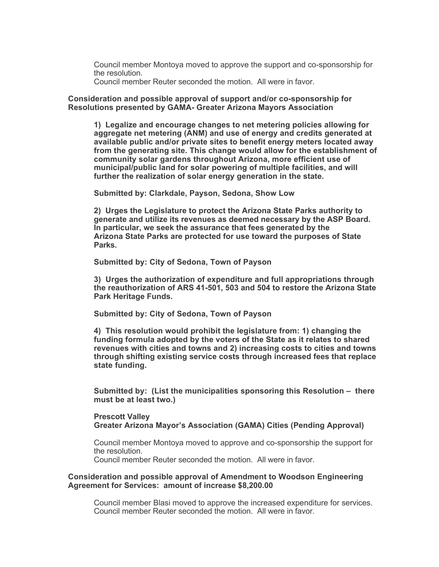Council member Montoya moved to approve the support and co-sponsorship for the resolution.

Council member Reuter seconded the motion. All were in favor.

**Consideration and possible approval of support and/or co-sponsorship for Resolutions presented by GAMA- Greater Arizona Mayors Association**

**1) Legalize and encourage changes to net metering policies allowing for aggregate net metering (ANM) and use of energy and credits generated at available public and/or private sites to benefit energy meters located away from the generating site. This change would allow for the establishment of community solar gardens throughout Arizona, more efficient use of municipal/public land for solar powering of multiple facilities, and will further the realization of solar energy generation in the state.**

**Submitted by: Clarkdale, Payson, Sedona, Show Low**

**2) Urges the Legislature to protect the Arizona State Parks authority to generate and utilize its revenues as deemed necessary by the ASP Board. In particular, we seek the assurance that fees generated by the Arizona State Parks are protected for use toward the purposes of State Parks.**

**Submitted by: City of Sedona, Town of Payson**

**3) Urges the authorization of expenditure and full appropriations through the reauthorization of ARS 41-501, 503 and 504 to restore the Arizona State Park Heritage Funds.**

**Submitted by: City of Sedona, Town of Payson**

**4) This resolution would prohibit the legislature from: 1) changing the funding formula adopted by the voters of the State as it relates to shared revenues with cities and towns and 2) increasing costs to cities and towns through shifting existing service costs through increased fees that replace state funding.**

**Submitted by: (List the municipalities sponsoring this Resolution – there must be at least two.)**

**Prescott Valley Greater Arizona Mayor's Association (GAMA) Cities (Pending Approval)** 

Council member Montoya moved to approve and co-sponsorship the support for the resolution.

Council member Reuter seconded the motion. All were in favor.

#### **Consideration and possible approval of Amendment to Woodson Engineering Agreement for Services: amount of increase \$8,200.00**

Council member Blasi moved to approve the increased expenditure for services. Council member Reuter seconded the motion. All were in favor.